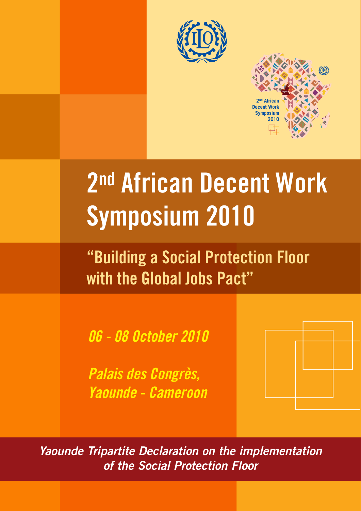



# **2nd African Decent Work Symposium 2010**

**"Building a Social Protection Floor with the Global Jobs Pact"**

*06 - 08 October 2010*

*Palais des Congrès, Yaounde - Cameroon*



*Yaounde Tripartite Declaration on the implementation of the Social Protection Floor*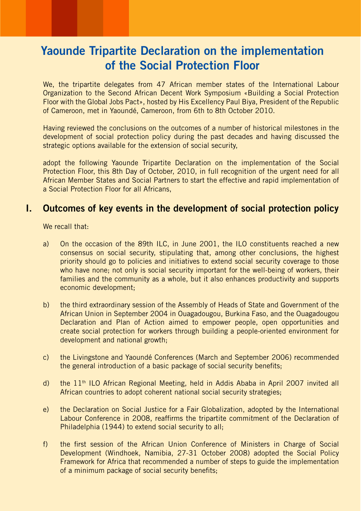## **Yaounde Tripartite Declaration on the implementation of the Social Protection Floor**

We, the tripartite delegates from 47 African member states of the International Labour Organization to the Second African Decent Work Symposium «Building a Social Protection Floor with the Global Jobs Pact», hosted by His Excellency Paul Biya, President of the Republic of Cameroon, met in Yaoundé, Cameroon, from 6th to 8th October 2010.

Having reviewed the conclusions on the outcomes of a number of historical milestones in the development of social protection policy during the past decades and having discussed the strategic options available for the extension of social security,

adopt the following Yaounde Tripartite Declaration on the implementation of the Social Protection Floor, this 8th Day of October, 2010, in full recognition of the urgent need for all African Member States and Social Partners to start the effective and rapid implementation of a Social Protection Floor for all Africans,

## **I. Outcomes of key events in the development of social protection policy**

We recall that:

- a) On the occasion of the 89th ILC, in June 2001, the ILO constituents reached a new consensus on social security, stipulating that, among other conclusions, the highest priority should go to policies and initiatives to extend social security coverage to those who have none; not only is social security important for the well-being of workers, their families and the community as a whole, but it also enhances productivity and supports economic development;
- b) the third extraordinary session of the Assembly of Heads of State and Government of the African Union in September 2004 in Ouagadougou, Burkina Faso, and the Ouagadougou Declaration and Plan of Action aimed to empower people, open opportunities and create social protection for workers through building a people-oriented environment for development and national growth;
- c) the Livingstone and Yaoundé Conferences (March and September 2006) recommended the general introduction of a basic package of social security benefits;
- d) the 11th ILO African Regional Meeting, held in Addis Ababa in April 2007 invited all African countries to adopt coherent national social security strategies;
- e) the Declaration on Social Justice for a Fair Globalization, adopted by the International Labour Conference in 2008, reaffirms the tripartite commitment of the Declaration of Philadelphia (1944) to extend social security to all;
- f) the first session of the African Union Conference of Ministers in Charge of Social Development (Windhoek, Namibia, 27-31 October 2008) adopted the Social Policy Framework for Africa that recommended a number of steps to guide the implementation of a minimum package of social security benefits;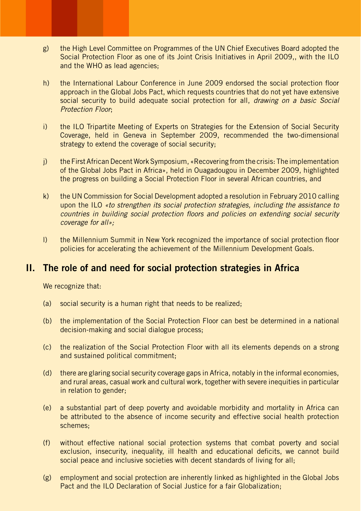- g) the High Level Committee on Programmes of the UN Chief Executives Board adopted the Social Protection Floor as one of its Joint Crisis Initiatives in April 2009,, with the ILO and the WHO as lead agencies;
- h) the International Labour Conference in June 2009 endorsed the social protection floor approach in the Global Jobs Pact, which requests countries that do not yet have extensive social security to build adequate social protection for all, *drawing on a basic Social Protection Floor*;
- i) the ILO Tripartite Meeting of Experts on Strategies for the Extension of Social Security Coverage, held in Geneva in September 2009, recommended the two-dimensional strategy to extend the coverage of social security;
- j) the First African Decent Work Symposium, «Recovering from the crisis: The implementation of the Global Jobs Pact in Africa», held in Ouagadougou in December 2009, highlighted the progress on building a Social Protection Floor in several African countries, and
- k) the UN Commission for Social Development adopted a resolution in February 2010 calling upon the ILO *«to strengthen its social protection strategies, including the assistance to countries in building social protection floors and policies on extending social security coverage for all»;*
- l) the Millennium Summit in New York recognized the importance of social protection floor policies for accelerating the achievement of the Millennium Development Goals.

## **II. The role of and need for social protection strategies in Africa**

We recognize that:

- (a) social security is a human right that needs to be realized;
- (b) the implementation of the Social Protection Floor can best be determined in a national decision-making and social dialogue process;
- (c) the realization of the Social Protection Floor with all its elements depends on a strong and sustained political commitment;
- (d) there are glaring social security coverage gaps in Africa, notably in the informal economies, and rural areas, casual work and cultural work, together with severe inequities in particular in relation to gender;
- (e) a substantial part of deep poverty and avoidable morbidity and mortality in Africa can be attributed to the absence of income security and effective social health protection schemes;
- (f) without effective national social protection systems that combat poverty and social exclusion, insecurity, inequality, ill health and educational deficits, we cannot build social peace and inclusive societies with decent standards of living for all;
- (g) employment and social protection are inherently linked as highlighted in the Global Jobs Pact and the ILO Declaration of Social Justice for a fair Globalization;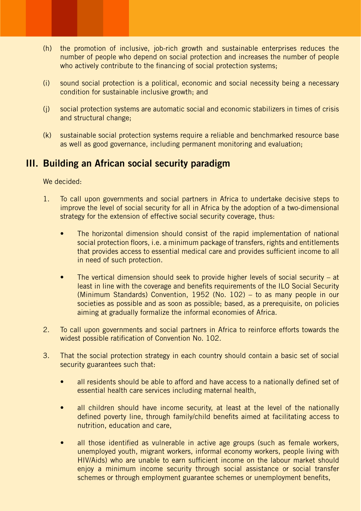- (h) the promotion of inclusive, job-rich growth and sustainable enterprises reduces the number of people who depend on social protection and increases the number of people who actively contribute to the financing of social protection systems;
- (i) sound social protection is a political, economic and social necessity being a necessary condition for sustainable inclusive growth; and
- (j) social protection systems are automatic social and economic stabilizers in times of crisis and structural change;
- (k) sustainable social protection systems require a reliable and benchmarked resource base as well as good governance, including permanent monitoring and evaluation;

## **III. Building an African social security paradigm**

We decided:

- 1. To call upon governments and social partners in Africa to undertake decisive steps to improve the level of social security for all in Africa by the adoption of a two-dimensional strategy for the extension of effective social security coverage, thus:
	- The horizontal dimension should consist of the rapid implementation of national social protection floors, i.e. a minimum package of transfers, rights and entitlements that provides access to essential medical care and provides sufficient income to all in need of such protection.
	- The vertical dimension should seek to provide higher levels of social security at least in line with the coverage and benefits requirements of the ILO Social Security (Minimum Standards) Convention, 1952 (No. 102) – to as many people in our societies as possible and as soon as possible; based, as a prerequisite, on policies aiming at gradually formalize the informal economies of Africa.
- 2. To call upon governments and social partners in Africa to reinforce efforts towards the widest possible ratification of Convention No. 102.
- 3. That the social protection strategy in each country should contain a basic set of social security guarantees such that:
	- all residents should be able to afford and have access to a nationally defined set of essential health care services including maternal health,
	- all children should have income security, at least at the level of the nationally defined poverty line, through family/child benefits aimed at facilitating access to nutrition, education and care,
	- all those identified as vulnerable in active age groups (such as female workers, unemployed youth, migrant workers, informal economy workers, people living with HIV/Aids) who are unable to earn sufficient income on the labour market should enjoy a minimum income security through social assistance or social transfer schemes or through employment guarantee schemes or unemployment benefits,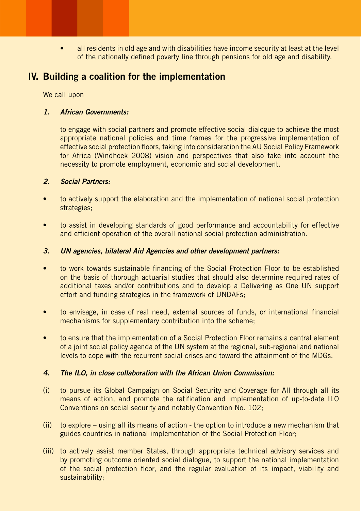• all residents in old age and with disabilities have income security at least at the level of the nationally defined poverty line through pensions for old age and disability.

## **IV. Building a coalition for the implementation**

We call upon

#### *1. African Governments:*

to engage with social partners and promote effective social dialogue to achieve the most appropriate national policies and time frames for the progressive implementation of effective social protection floors, taking into consideration the AU Social Policy Framework for Africa (Windhoek 2008) vision and perspectives that also take into account the necessity to promote employment, economic and social development.

#### *2. Social Partners:*

- to actively support the elaboration and the implementation of national social protection strategies;
- to assist in developing standards of good performance and accountability for effective and efficient operation of the overall national social protection administration.

#### *3. UN agencies, bilateral Aid Agencies and other development partners:*

- to work towards sustainable financing of the Social Protection Floor to be established on the basis of thorough actuarial studies that should also determine required rates of additional taxes and/or contributions and to develop a Delivering as One UN support effort and funding strategies in the framework of UNDAFs;
- to envisage, in case of real need, external sources of funds, or international financial mechanisms for supplementary contribution into the scheme;
- to ensure that the implementation of a Social Protection Floor remains a central element of a joint social policy agenda of the UN system at the regional, sub-regional and national levels to cope with the recurrent social crises and toward the attainment of the MDGs.

#### *4. The ILO, in close collaboration with the African Union Commission:*

- (i) to pursue its Global Campaign on Social Security and Coverage for All through all its means of action, and promote the ratification and implementation of up-to-date ILO Conventions on social security and notably Convention No. 102;
- (ii) to explore using all its means of action the option to introduce a new mechanism that guides countries in national implementation of the Social Protection Floor;
- (iii) to actively assist member States, through appropriate technical advisory services and by promoting outcome oriented social dialogue, to support the national implementation of the social protection floor, and the regular evaluation of its impact, viability and sustainability;